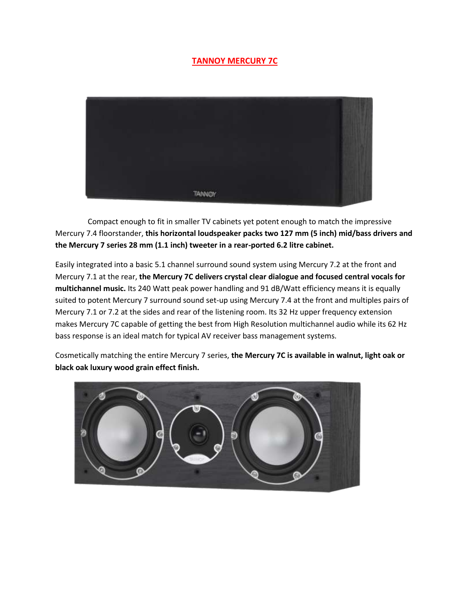## **TANNOY MERCURY 7C**



 Compact enough to fit in smaller TV cabinets yet potent enough to match the impressive Mercury 7.4 floorstander, **this horizontal loudspeaker packs two 127 mm (5 inch) mid/bass drivers and the Mercury 7 series 28 mm (1.1 inch) tweeter in a rear-ported 6.2 litre cabinet.**

Easily integrated into a basic 5.1 channel surround sound system using Mercury 7.2 at the front and Mercury 7.1 at the rear, **the Mercury 7C delivers crystal clear dialogue and focused central vocals for multichannel music.** Its 240 Watt peak power handling and 91 dB/Watt efficiency means it is equally suited to potent Mercury 7 surround sound set-up using Mercury 7.4 at the front and multiples pairs of Mercury 7.1 or 7.2 at the sides and rear of the listening room. Its 32 Hz upper frequency extension makes Mercury 7C capable of getting the best from High Resolution multichannel audio while its 62 Hz bass response is an ideal match for typical AV receiver bass management systems.

Cosmetically matching the entire Mercury 7 series, **the Mercury 7C is available in walnut, light oak or black oak luxury wood grain effect finish.**